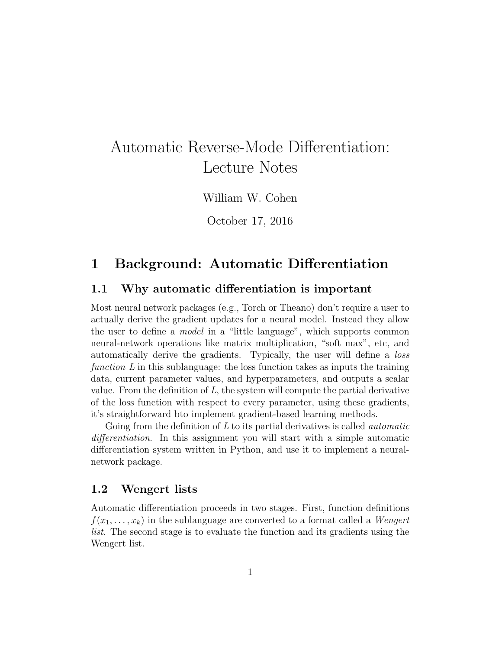# Automatic Reverse-Mode Differentiation: Lecture Notes

William W. Cohen

October 17, 2016

# 1 Background: Automatic Differentiation

### 1.1 Why automatic differentiation is important

Most neural network packages (e.g., Torch or Theano) don't require a user to actually derive the gradient updates for a neural model. Instead they allow the user to define a model in a "little language", which supports common neural-network operations like matrix multiplication, "soft max", etc, and automatically derive the gradients. Typically, the user will define a loss function  $L$  in this sublanguage: the loss function takes as inputs the training data, current parameter values, and hyperparameters, and outputs a scalar value. From the definition of  $L$ , the system will compute the partial derivative of the loss function with respect to every parameter, using these gradients, it's straightforward bto implement gradient-based learning methods.

Going from the definition of  $L$  to its partial derivatives is called *automatic* differentiation. In this assignment you will start with a simple automatic differentiation system written in Python, and use it to implement a neuralnetwork package.

#### 1.2 Wengert lists

Automatic differentiation proceeds in two stages. First, function definitions  $f(x_1, \ldots, x_k)$  in the sublanguage are converted to a format called a *Wengert* list. The second stage is to evaluate the function and its gradients using the Wengert list.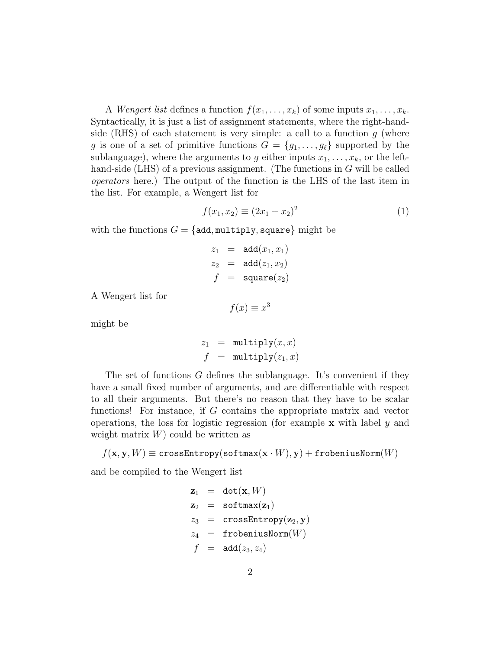A *Wengert list* defines a function  $f(x_1, \ldots, x_k)$  of some inputs  $x_1, \ldots, x_k$ . Syntactically, it is just a list of assignment statements, where the right-handside (RHS) of each statement is very simple: a call to a function  $g$  (where g is one of a set of primitive functions  $G = \{g_1, \ldots, g_\ell\}$  supported by the sublanguage), where the arguments to g either inputs  $x_1, \ldots, x_k$ , or the lefthand-side (LHS) of a previous assignment. (The functions in  $G$  will be called operators here.) The output of the function is the LHS of the last item in the list. For example, a Wengert list for

$$
f(x_1, x_2) \equiv (2x_1 + x_2)^2 \tag{1}
$$

with the functions  $G = \{ \text{add}, \text{multiply}, \text{square} \}$  might be

$$
z_1 = \text{add}(x_1, x_1)
$$
  
\n
$$
z_2 = \text{add}(z_1, x_2)
$$
  
\n
$$
f = \text{square}(z_2)
$$

A Wengert list for

$$
f(x) \equiv x^3
$$

might be

$$
z_1 = \text{multiply}(x, x)
$$
  

$$
f = \text{multiply}(z_1, x)
$$

The set of functions G defines the sublanguage. It's convenient if they have a small fixed number of arguments, and are differentiable with respect to all their arguments. But there's no reason that they have to be scalar functions! For instance, if G contains the appropriate matrix and vector operations, the loss for logistic regression (for example  $x$  with label  $y$  and weight matrix  $W$ ) could be written as

 $f(\mathbf{x}, \mathbf{y}, W) \equiv \texttt{crossEntropy}(\texttt{softmax}(\mathbf{x} \cdot W), \mathbf{y}) + \texttt{frobeniusNorm}(W)$ 

and be compiled to the Wengert list

$$
\begin{array}{rcl} \mathbf{z}_1 &=& \mathtt{dot}(\mathbf{x},W) \\ \mathbf{z}_2 &=& \mathtt{softmax}(\mathbf{z}_1) \\ z_3 &=& \mathtt{crossEntropy}(\mathbf{z}_2,\mathbf{y}) \\ z_4 &=& \mathtt{frobeniusNorm}(W) \\ f &=& \mathtt{add}(z_3,z_4) \end{array}
$$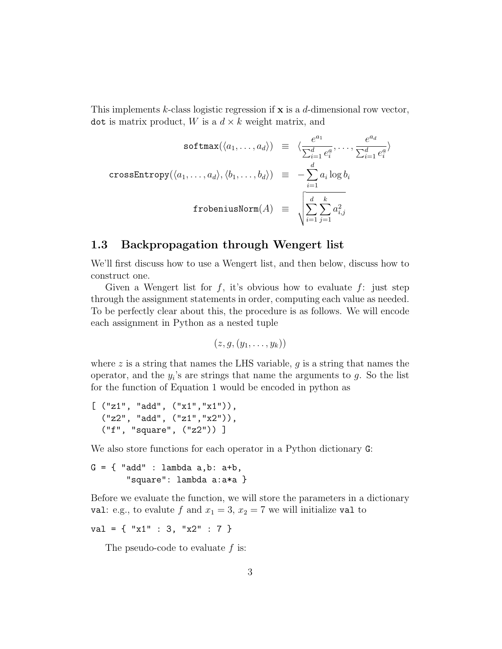This implements k-class logistic regression if  $x$  is a d-dimensional row vector, dot is matrix product, W is a  $d \times k$  weight matrix, and

$$
\text{softmax}(\langle a_1, \dots, a_d \rangle) \equiv \langle \frac{e^{a_1}}{\sum_{i=1}^d e_i^a}, \dots, \frac{e^{a_d}}{\sum_{i=1}^d e_i^a} \rangle
$$
  
\n
$$
\text{crossEntropy}(\langle a_1, \dots, a_d \rangle, \langle b_1, \dots, b_d \rangle) \equiv -\sum_{i=1}^d a_i \log b_i
$$
  
\n
$$
\text{fromiusNorm}(A) \equiv \sqrt{\sum_{i=1}^d \sum_{j=1}^k a_{i,j}^2}
$$

### 1.3 Backpropagation through Wengert list

We'll first discuss how to use a Wengert list, and then below, discuss how to construct one.

Given a Wengert list for  $f$ , it's obvious how to evaluate  $f$ : just step through the assignment statements in order, computing each value as needed. To be perfectly clear about this, the procedure is as follows. We will encode each assignment in Python as a nested tuple

$$
(z,g,(y_1,\ldots,y_k))
$$

where  $z$  is a string that names the LHS variable,  $g$  is a string that names the operator, and the  $y_i$ 's are strings that name the arguments to  $g$ . So the list for the function of Equation 1 would be encoded in python as

```
[ ("z1", "add", ("x1", "x1")),
  ("z2", "add", ("z1","x2")),
  ("f", "square", ("z2")) ]
```
We also store functions for each operator in a Python dictionary G:

 $G = \{$  "add" : lambda a,b: a+b, "square": lambda a:a\*a }

Before we evaluate the function, we will store the parameters in a dictionary val: e.g., to evalute f and  $x_1 = 3$ ,  $x_2 = 7$  we will initialize val to

 $val = \{ "x1" : 3, "x2" : 7 \}$ 

The pseudo-code to evaluate  $f$  is: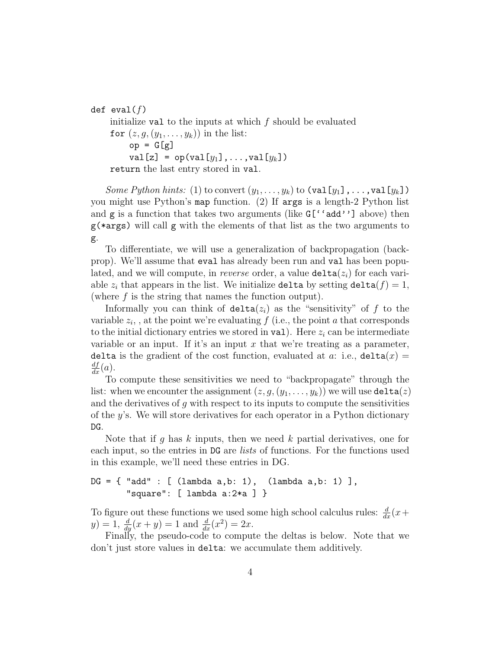def eval $(f)$ 

initialize val to the inputs at which  $f$  should be evaluated for  $(z, g, (y_1, \ldots, y_k))$  in the list:  $op = G[g]$ val[z] =  $op(val[y_1], \ldots, val[y_k])$ return the last entry stored in val.

Some Python hints: (1) to convert  $(y_1, \ldots, y_k)$  to  $(\text{val}[y_1], \ldots, \text{val}[y_k])$ you might use Python's map function. (2) If args is a length-2 Python list and  $g$  is a function that takes two arguments (like  $G[$ 'add''] above) then g(\*args) will call g with the elements of that list as the two arguments to g.

To differentiate, we will use a generalization of backpropagation (backprop). We'll assume that eval has already been run and val has been populated, and we will compute, in *reverse* order, a value  $\texttt{delta}(z_i)$  for each variable  $z_i$  that appears in the list. We initialize delta by setting delta $(f) = 1$ , (where  $f$  is the string that names the function output).

Informally you can think of  $delta(z_i)$  as the "sensitivity" of f to the variable  $z_i$ , at the point we're evaluating  $f$  (i.e., the point a that corresponds to the initial dictionary entries we stored in val. Here  $z_i$  can be intermediate variable or an input. If it's an input  $x$  that we're treating as a parameter, delta is the gradient of the cost function, evaluated at a: i.e.,  $\text{delta}(x) =$  $\frac{df}{dx}(a)$ .

To compute these sensitivities we need to "backpropagate" through the list: when we encounter the assignment  $(z, g, (y_1, \ldots, y_k))$  we will use  $\texttt{delta}(z)$ and the derivatives of  $g$  with respect to its inputs to compute the sensitivities of the  $y$ 's. We will store derivatives for each operator in a Python dictionary DG.

Note that if g has k inputs, then we need k partial derivatives, one for each input, so the entries in DG are lists of functions. For the functions used in this example, we'll need these entries in DG.

## $DG = {$  "add" : [  $(lambda a,b: 1)$ ,  $(lambda a,b: 1)$ ], "square": [ lambda a:2\*a ] }

To figure out these functions we used some high school calculus rules:  $\frac{d}{dx}(x+)$  $y) = 1, \frac{d}{dy}(x+y) = 1$  and  $\frac{d}{dx}(x^2) = 2x$ .

Finally, the pseudo-code to compute the deltas is below. Note that we don't just store values in delta: we accumulate them additively.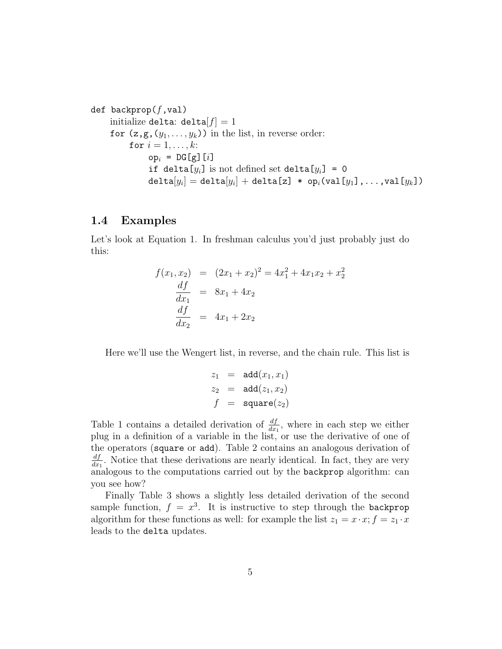```
def backprop(f, val)initialize delta: delta[f] = 1for (z, g, (y_1, \ldots, y_k)) in the list, in reverse order:
            for i = 1, \ldots, k:
                  op_i = DG[g][i]if delta[y_i] is not defined set delta[y_i] = 0
                  \texttt{delta}[y_i] = \texttt{delta}[y_i] + \texttt{delta}[\texttt{z}] \; * \; \texttt{op}_i(\texttt{val}[y_1] \, , \ldots, \texttt{val}[y_k])
```
#### 1.4 Examples

Let's look at Equation 1. In freshman calculus you'd just probably just do this:

$$
f(x_1, x_2) = (2x_1 + x_2)^2 = 4x_1^2 + 4x_1x_2 + x_2^2
$$
  
\n
$$
\frac{df}{dx_1} = 8x_1 + 4x_2
$$
  
\n
$$
\frac{df}{dx_2} = 4x_1 + 2x_2
$$

Here we'll use the Wengert list, in reverse, and the chain rule. This list is

$$
z_1 = \text{add}(x_1, x_1)
$$
  
\n
$$
z_2 = \text{add}(z_1, x_2)
$$
  
\n
$$
f = \text{square}(z_2)
$$

Table 1 contains a detailed derivation of  $\frac{df}{dx_1}$ , where in each step we either plug in a definition of a variable in the list, or use the derivative of one of the operators (square or add). Table 2 contains an analogous derivation of  $df$  $\frac{df}{dx_1}$ . Notice that these derivations are nearly identical. In fact, they are very analogous to the computations carried out by the backprop algorithm: can you see how?

Finally Table 3 shows a slightly less detailed derivation of the second sample function,  $f = x^3$ . It is instructive to step through the backprop algorithm for these functions as well: for example the list  $z_1 = x \cdot x$ ;  $f = z_1 \cdot x$ leads to the delta updates.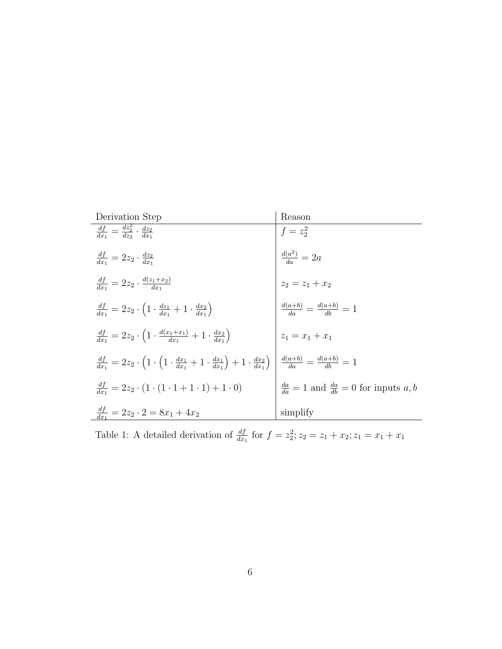| Derivation Step                                                                                                                                    | Reason                                                      |
|----------------------------------------------------------------------------------------------------------------------------------------------------|-------------------------------------------------------------|
| $\frac{df}{dx_1} = \frac{dz_2^2}{dz_2} \cdot \frac{dz_2}{dx_1}$                                                                                    | $f = z_2^2$                                                 |
| $\frac{df}{dx_1} = 2z_2 \cdot \frac{dz_2}{dx_1}$                                                                                                   | $\frac{d(a^2)}{da} = 2a$                                    |
| $\frac{df}{dx_1} = 2z_2 \cdot \frac{d(z_1+x_2)}{dx_1}$                                                                                             | $z_2 = z_1 + x_2$                                           |
| $\frac{df}{dx_1} = 2z_2 \cdot \left(1 \cdot \frac{dz_1}{dx_1} + 1 \cdot \frac{dx_2}{dx_1}\right)$                                                  | $\frac{d(a+b)}{da} = \frac{d(a+b)}{db} = 1$                 |
| $\frac{df}{dx_1} = 2z_2 \cdot \left(1 \cdot \frac{d(x_1+x_1)}{dx_1} + 1 \cdot \frac{dx_2}{dx_1}\right)$                                            | $z_1 = x_1 + x_1$                                           |
| $\frac{df}{dx_1} = 2z_2 \cdot \left(1 \cdot \left(1 \cdot \frac{dx_1}{dx_1} + 1 \cdot \frac{dx_1}{dx_1}\right) + 1 \cdot \frac{dx_2}{dx_1}\right)$ | $\frac{d(a+b)}{da} = \frac{d(a+b)}{db} = 1$                 |
| $\frac{df}{dx} = 2z_2 \cdot (1 \cdot (1 \cdot 1 + 1 \cdot 1) + 1 \cdot 0)$                                                                         | $\frac{da}{da} = 1$ and $\frac{da}{db} = 0$ for inputs a, b |
| $\frac{df}{dx_1} = 2z_2 \cdot 2 = 8x_1 + 4x_2$                                                                                                     | simplify                                                    |

Table 1: A detailed derivation of  $\frac{df}{dx_1}$  for  $f = z_2^2$ ;  $z_2 = z_1 + x_2$ ;  $z_1 = x_1 + x_1$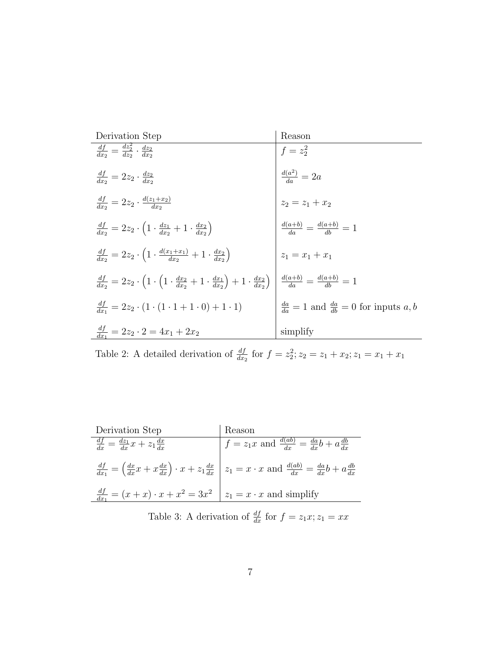| Derivation Step                                                                                                                                                                                             | Reason                                                                                                      |
|-------------------------------------------------------------------------------------------------------------------------------------------------------------------------------------------------------------|-------------------------------------------------------------------------------------------------------------|
| $\frac{df}{dx_2} = \frac{dz_2^2}{dz_2} \cdot \frac{dz_2}{dx_2}$                                                                                                                                             |                                                                                                             |
| $\frac{df}{dx_2} = 2z_2 \cdot \frac{dz_2}{dx_2}$                                                                                                                                                            | $f = z_2^2$<br>$\frac{d(a^2)}{da} = 2a$<br>$z_2 = z_1 + x_2$<br>$\frac{d(a+b)}{da} = \frac{d(a+b)}{db} = 1$ |
| $\frac{df}{dx_2} = 2z_2 \cdot \frac{d(z_1+x_2)}{dx_2}$                                                                                                                                                      |                                                                                                             |
| $\frac{df}{dx_2} = 2z_2 \cdot \left(1 \cdot \frac{dz_1}{dx_2} + 1 \cdot \frac{dx_2}{dx_2}\right)$                                                                                                           |                                                                                                             |
| $\frac{df}{dx_2} = 2z_2 \cdot \left(1 \cdot \frac{d(x_1+x_1)}{dx_2} + 1 \cdot \frac{dx_2}{dx_2}\right)$                                                                                                     | $ z_1 = x_1 + x_1$                                                                                          |
| $\frac{df}{dx_2} = 2z_2 \cdot \left(1 \cdot \left(1 \cdot \frac{dx_2}{dx_2} + 1 \cdot \frac{dx_1}{dx_2}\right) + 1 \cdot \frac{dx_2}{dx_2}\right) \left  \frac{d(a+b)}{da} = \frac{d(a+b)}{db} = 1 \right $ |                                                                                                             |
| $\frac{df}{dx_1} = 2z_2 \cdot (1 \cdot (1 \cdot 1 + 1 \cdot 0) + 1 \cdot 1)$                                                                                                                                | $\frac{da}{da} = 1$ and $\frac{da}{db} = 0$ for inputs a, b                                                 |
| $\frac{df}{dx_1} = 2z_2 \cdot 2 = 4x_1 + 2x_2$                                                                                                                                                              | simplify                                                                                                    |

Table 2: A detailed derivation of  $\frac{df}{dx_2}$  for  $f = z_2^2$ ;  $z_2 = z_1 + x_2$ ;  $z_1 = x_1 + x_1$ 

| Derivation Step                                                                  | Reason                                                                                                                                                                    |
|----------------------------------------------------------------------------------|---------------------------------------------------------------------------------------------------------------------------------------------------------------------------|
| $\frac{df}{dx} = \frac{dz_1}{dx}x + z_1\frac{dx}{dx}$                            | $f = z_1 x$ and $\frac{d(ab)}{dx} = \frac{da}{dx}b + a\frac{db}{dx}$                                                                                                      |
|                                                                                  | $\frac{df}{dx_1} = \left(\frac{dx}{dx}x + x\frac{dx}{dx}\right) \cdot x + z_1\frac{dx}{dx} \mid z_1 = x \cdot x$ and $\frac{d(ab)}{dx} = \frac{da}{dx}b + a\frac{db}{dx}$ |
| $\frac{df}{dx_1} = (x+x) \cdot x + x^2 = 3x^2 \mid z_1 = x \cdot x$ and simplify |                                                                                                                                                                           |

Table 3: A derivation of  $\frac{df}{dx}$  for  $f = z_1 x; z_1 = x x$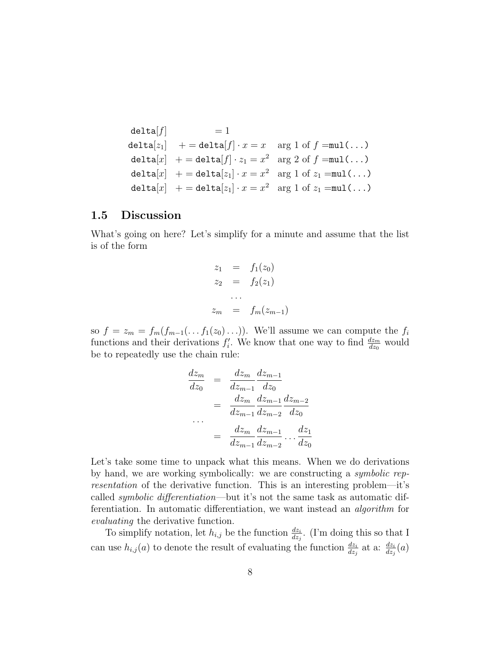```
\text{delta}[f] = 1
delta[z_1] + = delta[f] \cdot x = x arg 1 of f = \text{mul}(\dots)delta[x] + = delta[f] \cdot z_1 = x^2 arg 2 of f = \text{mul}(\dots)delta[x] + = delta[z_1] \cdot x = x^2 arg 1 of z_1 = \text{mul}(\dots)delta[x] + = delta[z_1] \cdot x = x^2 arg 1 of z_1 = \text{mul}(\dots)
```
#### 1.5 Discussion

What's going on here? Let's simplify for a minute and assume that the list is of the form

$$
z_1 = f_1(z_0)
$$
  
\n
$$
z_2 = f_2(z_1)
$$
  
\n...  
\n
$$
z_m = f_m(z_{m-1})
$$

so  $f = z_m = f_m(f_{m-1}(\ldots f_1(z_0)\ldots))$ . We'll assume we can compute the  $f_i$ functions and their derivations  $f_i'$ . We know that one way to find  $\frac{dz_m}{dz_0}$  would be to repeatedly use the chain rule:

$$
\frac{dz_m}{dz_0} = \frac{dz_m}{dz_{m-1}} \frac{dz_{m-1}}{dz_0}
$$
\n
$$
= \frac{dz_m}{dz_{m-1}} \frac{dz_{m-1}}{dz_{m-2}} \frac{dz_{m-2}}{dz_0}
$$
\n
$$
\dots
$$
\n
$$
= \frac{dz_m}{dz_{m-1}} \frac{dz_{m-1}}{dz_{m-2}} \dots \frac{dz_1}{dz_0}
$$

Let's take some time to unpack what this means. When we do derivations by hand, we are working symbolically: we are constructing a symbolic representation of the derivative function. This is an interesting problem—it's called symbolic differentiation—but it's not the same task as automatic differentiation. In automatic differentiation, we want instead an algorithm for evaluating the derivative function.

To simplify notation, let  $h_{i,j}$  be the function  $\frac{dz_i}{dz_j}$ . (I'm doing this so that I can use  $h_{i,j}(a)$  to denote the result of evaluating the function  $\frac{dz_i}{dz_j}$  at a:  $\frac{dz_i}{dz_j}(a)$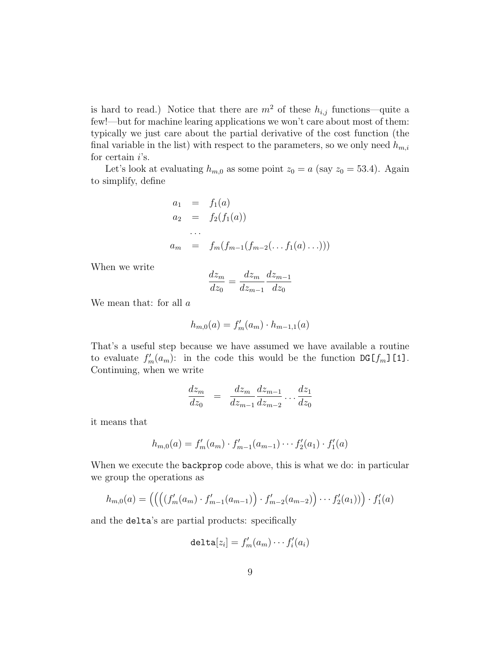is hard to read.) Notice that there are  $m^2$  of these  $h_{i,j}$  functions—quite a few!—but for machine learing applications we won't care about most of them: typically we just care about the partial derivative of the cost function (the final variable in the list) with respect to the parameters, so we only need  $h_{m,i}$ for certain  $i$ 's.

Let's look at evaluating  $h_{m,0}$  as some point  $z_0 = a$  (say  $z_0 = 53.4$ ). Again to simplify, define

$$
a_1 = f_1(a)
$$
  
\n
$$
a_2 = f_2(f_1(a))
$$
  
\n...  
\n
$$
a_m = f_m(f_{m-1}(f_{m-2}(\ldots f_1(a)\ldots)))
$$

When we write

$$
\frac{dz_m}{dz_0} = \frac{dz_m}{dz_{m-1}} \frac{dz_{m-1}}{dz_0}
$$

We mean that: for all  $a$ 

$$
h_{m,0}(a) = f'_m(a_m) \cdot h_{m-1,1}(a)
$$

That's a useful step because we have assumed we have available a routine to evaluate  $f'_m(a_m)$ : in the code this would be the function DG[ $f_m$ ][1]. Continuing, when we write

$$
\frac{dz_m}{dz_0} = \frac{dz_m}{dz_{m-1}} \frac{dz_{m-1}}{dz_{m-2}} \dots \frac{dz_1}{dz_0}
$$

it means that

$$
h_{m,0}(a) = f'_m(a_m) \cdot f'_{m-1}(a_{m-1}) \cdots f'_2(a_1) \cdot f'_1(a)
$$

When we execute the **backprop** code above, this is what we do: in particular we group the operations as

$$
h_{m,0}(a) = \left( \left( \left( \left( f'_m(a_m) \cdot f'_{m-1}(a_{m-1}) \right) \cdot f'_{m-2}(a_{m-2}) \right) \cdots f'_2(a_1) \right) \right) \cdot f'_1(a)
$$

and the delta's are partial products: specifically

$$
\mathtt{delta}[z_i] = f'_m(a_m) \cdots f'_i(a_i)
$$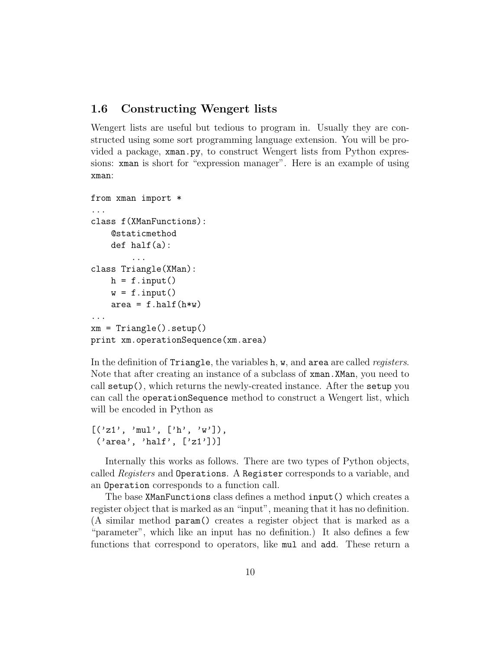#### 1.6 Constructing Wengert lists

Wengert lists are useful but tedious to program in. Usually they are constructed using some sort programming language extension. You will be provided a package, xman.py, to construct Wengert lists from Python expressions: xman is short for "expression manager". Here is an example of using xman:

```
from xman import *
...
class f(XManFunctions):
    @staticmethod
    def half(a):
         ...
class Triangle(XMan):
    h = f.input()w = f.\text{input}()area = f.half(h*w)...
xm = Triangle().setup()
print xm.operationSequence(xm.area)
```
In the definition of Triangle, the variables h, w, and area are called *registers*. Note that after creating an instance of a subclass of  $x$ man. XMan, you need to call setup(), which returns the newly-created instance. After the setup you can call the operationSequence method to construct a Wengert list, which will be encoded in Python as

```
[(21', 'mul', ['h', 'w')],('area', 'half', ['z1'])]
```
Internally this works as follows. There are two types of Python objects, called Registers and Operations. A Register corresponds to a variable, and an Operation corresponds to a function call.

The base XManFunctions class defines a method input() which creates a register object that is marked as an "input", meaning that it has no definition. (A similar method param() creates a register object that is marked as a "parameter", which like an input has no definition.) It also defines a few functions that correspond to operators, like mul and add. These return a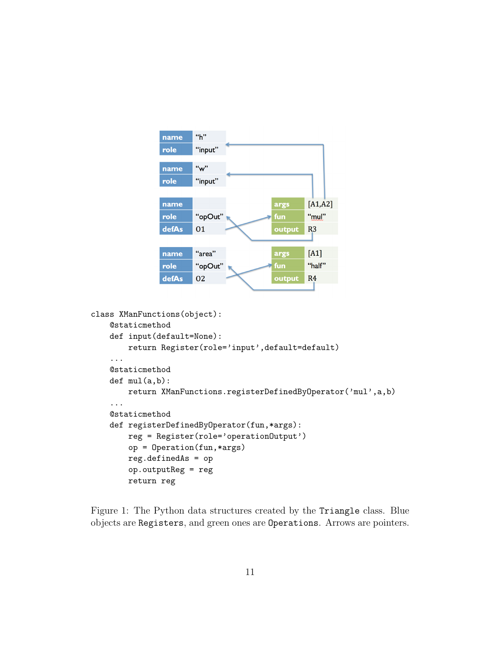```
"h"
name
role
          "input"
          "w"
name
          "input"
role
                                            [A1,A2]name
                                  args
role
          "opOut"
                                  fun
                                            "mul"
defAs
          01
                                            R3output
          "area"
                                            [A1]name
                                  args
                                            "half"
          "opOut"
                                  fun
role
defAs
          02
                                            R<sub>4</sub>output
```

```
class XManFunctions(object):
    @staticmethod
    def input(default=None):
        return Register(role='input',default=default)
    ...
    @staticmethod
    def mul(a,b):
        return XManFunctions.registerDefinedByOperator('mul',a,b)
    ...
    @staticmethod
    def registerDefinedByOperator(fun,*args):
        reg = Register(role='operationOutput')
        op = Operation(fun,*args)
        reg.definedAs = op
        op.outputReg = reg
        return reg
```
Figure 1: The Python data structures created by the Triangle class. Blue objects are Registers, and green ones are Operations. Arrows are pointers.